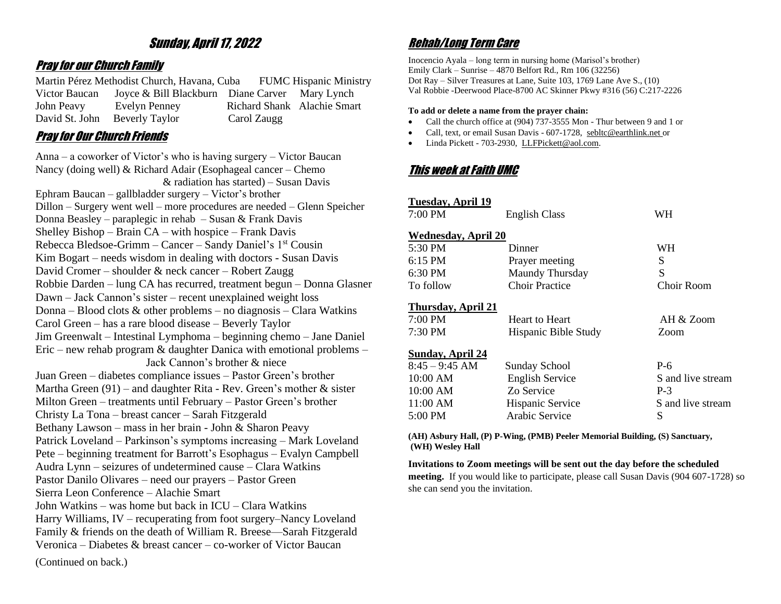# Sunday, April 17, 2022

### Pray for our Church Family

Martin Pérez Methodist Church, Havana, Cuba FUMC Hispanic Ministry Victor Baucan Joyce & Bill Blackburn Diane Carver Mary Lynch John Peavy Evelyn Penney Richard Shank Alachie Smart David St. John Beverly Taylor Carol Zaugg

## Pray for Our Church Friends

Anna – a coworker of Victor's who is having surgery – Victor Baucan Nancy (doing well) & Richard Adair (Esophageal cancer – Chemo & radiation has started) – Susan Davis Ephram Baucan – gallbladder surgery – Victor's brother Dillon – Surgery went well – more procedures are needed – Glenn Speicher Donna Beasley – paraplegic in rehab – Susan & Frank Davis Shelley Bishop – Brain CA – with hospice – Frank Davis Rebecca Bledsoe-Grimm – Cancer – Sandy Daniel's  $1<sup>st</sup>$  Cousin Kim Bogart – needs wisdom in dealing with doctors - Susan Davis David Cromer – shoulder & neck cancer – Robert Zaugg Robbie Darden – lung CA has recurred, treatment begun – Donna Glasner Dawn – Jack Cannon's sister – recent unexplained weight loss Donna – Blood clots & other problems – no diagnosis – Clara Watkins Carol Green – has a rare blood disease – Beverly Taylor Jim Greenwalt – Intestinal Lymphoma – beginning chemo – Jane Daniel Eric – new rehab program & daughter Danica with emotional problems – Jack Cannon's brother & niece Juan Green – diabetes compliance issues – Pastor Green's brother Martha Green  $(91)$  – and daughter Rita - Rev. Green's mother & sister Milton Green – treatments until February – Pastor Green's brother Christy La Tona – breast cancer – Sarah Fitzgerald Bethany Lawson – mass in her brain - John & Sharon Peavy Patrick Loveland – Parkinson's symptoms increasing – Mark Loveland Pete – beginning treatment for Barrott's Esophagus – Evalyn Campbell Audra Lynn – seizures of undetermined cause – Clara Watkins Pastor Danilo Olivares – need our prayers – Pastor Green Sierra Leon Conference – Alachie Smart John Watkins – was home but back in ICU – Clara Watkins Harry Williams, IV – recuperating from foot surgery–Nancy Loveland Family & friends on the death of William R. Breese—Sarah Fitzgerald Veronica – Diabetes & breast cancer – co-worker of Victor Baucan (Continued on back.)

# Rehab/Long Term Care

Inocencio Ayala – long term in nursing home (Marisol's brother) Emily Clark – Sunrise – 4870 Belfort Rd., Rm 106 (32256) Dot Ray – Silver Treasures at Lane, Suite 103, 1769 Lane Ave S., (10) Val Robbie -Deerwood Place-8700 AC Skinner Pkwy #316 (56) C:217-2226

#### **To add or delete a name from the prayer chain:**

- Call the church office at (904) 737-3555 Mon Thur between 9 and 1 or
- Call, text, or email Susan Davis 607-1728, [sebltc@earthlink.net](mailto:sebltc@earthlink.net) or
- Linda Pickett 703-2930, [LLFPickett@aol.com.](mailto:LLFPickett@aol.com)

# This week at Faith UMC

| Tuesday, April 19          |                        |                   |
|----------------------------|------------------------|-------------------|
| $7:00 \text{ PM}$          | <b>English Class</b>   | WН                |
| <b>Wednesday, April 20</b> |                        |                   |
| $5:30 \text{ PM}$          | Dinner                 | WН                |
| $6:15 \text{ PM}$          | Prayer meeting         | S                 |
| 6:30 PM                    | Maundy Thursday        | S                 |
| To follow                  | Choir Practice         | Choir Room        |
| <b>Thursday, April 21</b>  |                        |                   |
| $7:00 \text{ PM}$          | <b>Heart to Heart</b>  | AH & Zoom         |
| $7:30 \text{ PM}$          | Hispanic Bible Study   | Zoom              |
| <b>Sunday, April 24</b>    |                        |                   |
| $8:45 - 9:45$ AM           | <b>Sunday School</b>   | $P-6$             |
| $10:00$ AM                 | <b>English Service</b> | S and live stream |
| $10:00$ AM                 | Zo Service             | $P-3$             |
| $11:00$ AM                 | Hispanic Service       | S and live stream |
| $5:00 \text{ PM}$          | Arabic Service         | S                 |
|                            |                        |                   |

**(AH) Asbury Hall, (P) P-Wing, (PMB) Peeler Memorial Building, (S) Sanctuary, (WH) Wesley Hall**

#### **Invitations to Zoom meetings will be sent out the day before the scheduled**

**meeting.** If you would like to participate, please call Susan Davis (904 607-1728) so she can send you the invitation.